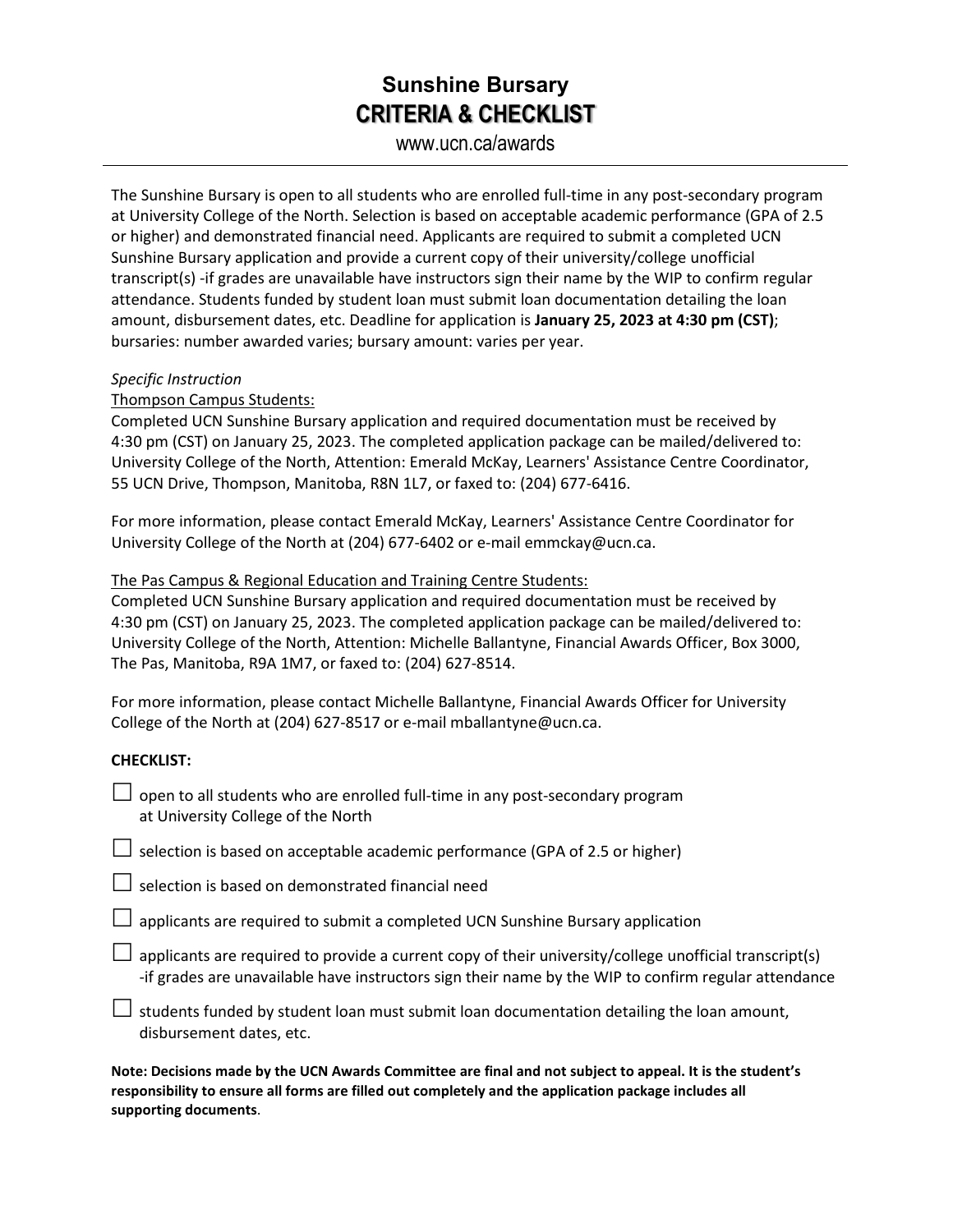## **Sunshine Bursary CRITERIA & CHECKLIST**

www.ucn.ca/awards

The Sunshine Bursary is open to all students who are enrolled full-time in any post-secondary program at University College of the North. Selection is based on acceptable academic performance (GPA of 2.5 or higher) and demonstrated financial need. Applicants are required to submit a completed UCN Sunshine Bursary application and provide a current copy of their university/college unofficial transcript(s) -if grades are unavailable have instructors sign their name by the WIP to confirm regular attendance. Students funded by student loan must submit loan documentation detailing the loan amount, disbursement dates, etc. Deadline for application is **January 25, 2023 at 4:30 pm (CST)**; bursaries: number awarded varies; bursary amount: varies per year.

#### *Specific Instruction*

### Thompson Campus Students:

Completed UCN Sunshine Bursary application and required documentation must be received by 4:30 pm (CST) on January 25, 2023. The completed application package can be mailed/delivered to: University College of the North, Attention: Emerald McKay, Learners' Assistance Centre Coordinator, 55 UCN Drive, Thompson, Manitoba, R8N 1L7, or faxed to: (204) 677-6416.

For more information, please contact Emerald McKay, Learners' Assistance Centre Coordinator for University College of the North at (204) 677-6402 or e-mail emmckay@ucn.ca.

#### The Pas Campus & Regional Education and Training Centre Students:

Completed UCN Sunshine Bursary application and required documentation must be received by 4:30 pm (CST) on January 25, 2023. The completed application package can be mailed/delivered to: University College of the North, Attention: Michelle Ballantyne, Financial Awards Officer, Box 3000, The Pas, Manitoba, R9A 1M7, or faxed to: (204) 627-8514.

For more information, please contact Michelle Ballantyne, Financial Awards Officer for University College of the North at (204) 627-8517 or e-mail mballantyne@ucn.ca.

### **CHECKLIST:**

| $\Box$ open to all students who are enrolled full-time in any post-secondary program |
|--------------------------------------------------------------------------------------|
| at University College of the North                                                   |

 $\Box$  selection is based on acceptable academic performance (GPA of 2.5 or higher)

 $\Box$  selection is based on demonstrated financial need

 $\Box$  applicants are required to submit a completed UCN Sunshine Bursary application

 $\Box$  applicants are required to provide a current copy of their university/college unofficial transcript(s) -if grades are unavailable have instructors sign their name by the WIP to confirm regular attendance

 $\Box$  students funded by student loan must submit loan documentation detailing the loan amount, disbursement dates, etc.

**Note: Decisions made by the UCN Awards Committee are final and not subject to appeal. It is the student's responsibility to ensure all forms are filled out completely and the application package includes all supporting documents**.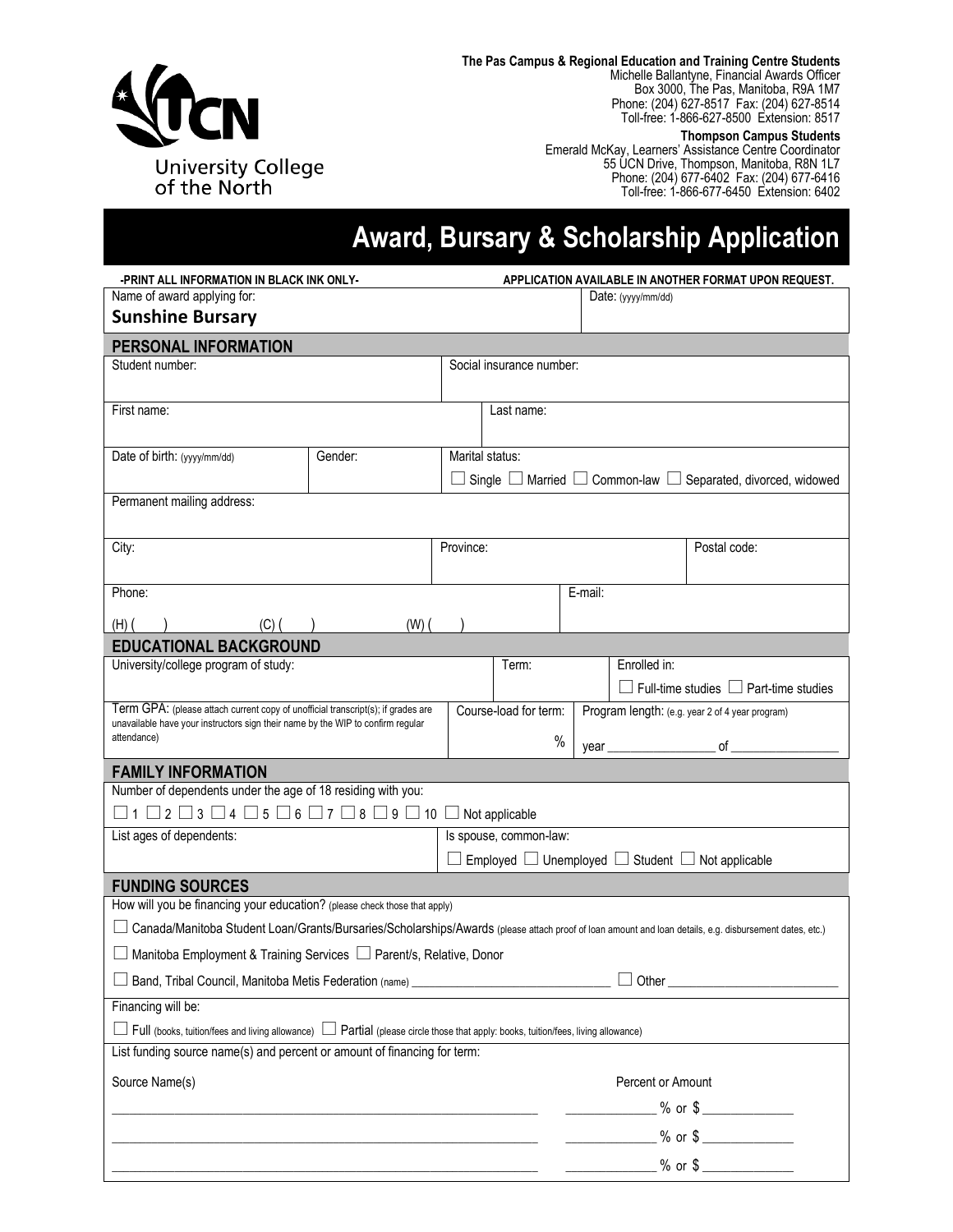

**The Pas Campus & Regional Education and Training Centre Students** Michelle Ballantyne, Financial Awards Officer Box 3000, The Pas, Manitoba, R9A 1M7 Phone: (204) 627-8517 Fax: (204) 627-8514 Toll-free: 1-866-627-8500 Extension: 8517

#### **Thompson Campus Students**

Emerald McKay, Learners' Assistance Centre Coordinator 55 UCN Drive, Thompson, Manitoba, R8N 1L7 Phone: (204) 677-6402 Fax: (204) 677-6416 Toll-free: 1-866-677-6450 Extension: 6402

# **Award, Bursary & Scholarship Application**

| Name of award applying for:                                                                                                                                                                                               | -PRINT ALL INFORMATION IN BLACK INK ONLY- |                     |                          |                                                             | APPLICATION AVAILABLE IN ANOTHER FORMAT UPON REQUEST. |                                                                                 |  |  |  |  |  |  |
|---------------------------------------------------------------------------------------------------------------------------------------------------------------------------------------------------------------------------|-------------------------------------------|---------------------|--------------------------|-------------------------------------------------------------|-------------------------------------------------------|---------------------------------------------------------------------------------|--|--|--|--|--|--|
|                                                                                                                                                                                                                           |                                           | Date: $(yyy/mm/dd)$ |                          |                                                             |                                                       |                                                                                 |  |  |  |  |  |  |
| <b>Sunshine Bursary</b>                                                                                                                                                                                                   |                                           |                     |                          |                                                             |                                                       |                                                                                 |  |  |  |  |  |  |
| PERSONAL INFORMATION                                                                                                                                                                                                      |                                           |                     |                          |                                                             |                                                       |                                                                                 |  |  |  |  |  |  |
| Student number:                                                                                                                                                                                                           |                                           |                     | Social insurance number: |                                                             |                                                       |                                                                                 |  |  |  |  |  |  |
|                                                                                                                                                                                                                           |                                           |                     |                          |                                                             |                                                       |                                                                                 |  |  |  |  |  |  |
| First name:                                                                                                                                                                                                               |                                           |                     | Last name:               |                                                             |                                                       |                                                                                 |  |  |  |  |  |  |
| Date of birth: (yyyy/mm/dd)                                                                                                                                                                                               | Gender:                                   | Marital status:     |                          |                                                             |                                                       |                                                                                 |  |  |  |  |  |  |
|                                                                                                                                                                                                                           |                                           |                     |                          |                                                             |                                                       | Single $\Box$ Married $\Box$ Common-law $\Box$ Separated, divorced, widowed     |  |  |  |  |  |  |
| Permanent mailing address:                                                                                                                                                                                                |                                           |                     |                          |                                                             |                                                       |                                                                                 |  |  |  |  |  |  |
|                                                                                                                                                                                                                           |                                           |                     |                          |                                                             |                                                       |                                                                                 |  |  |  |  |  |  |
| City:                                                                                                                                                                                                                     |                                           | Province:           |                          |                                                             |                                                       | Postal code:                                                                    |  |  |  |  |  |  |
|                                                                                                                                                                                                                           |                                           |                     |                          |                                                             |                                                       |                                                                                 |  |  |  |  |  |  |
| Phone:                                                                                                                                                                                                                    |                                           |                     |                          | E-mail:                                                     |                                                       |                                                                                 |  |  |  |  |  |  |
| (H)<br>(C) (                                                                                                                                                                                                              | $(W)$ (                                   |                     |                          |                                                             |                                                       |                                                                                 |  |  |  |  |  |  |
| <b>EDUCATIONAL BACKGROUND</b>                                                                                                                                                                                             |                                           |                     |                          |                                                             |                                                       |                                                                                 |  |  |  |  |  |  |
| University/college program of study:                                                                                                                                                                                      |                                           |                     | Term:                    |                                                             | Enrolled in:                                          |                                                                                 |  |  |  |  |  |  |
|                                                                                                                                                                                                                           |                                           |                     |                          |                                                             |                                                       | $\Box$ Full-time studies $\Box$ Part-time studies                               |  |  |  |  |  |  |
| Term GPA: (please attach current copy of unofficial transcript(s); if grades are<br>unavailable have your instructors sign their name by the WIP to confirm regular                                                       |                                           |                     | Course-load for term:    |                                                             |                                                       | Program length: (e.g. year 2 of 4 year program)                                 |  |  |  |  |  |  |
| attendance)                                                                                                                                                                                                               |                                           |                     | $\%$                     | year <u>__</u>                                              |                                                       | of                                                                              |  |  |  |  |  |  |
| <b>FAMILY INFORMATION</b>                                                                                                                                                                                                 |                                           |                     |                          |                                                             |                                                       |                                                                                 |  |  |  |  |  |  |
|                                                                                                                                                                                                                           |                                           |                     |                          | Number of dependents under the age of 18 residing with you: |                                                       |                                                                                 |  |  |  |  |  |  |
|                                                                                                                                                                                                                           |                                           |                     |                          |                                                             |                                                       |                                                                                 |  |  |  |  |  |  |
| $\Box$ 1 $\Box$ 2 $\Box$ 3 $\Box$ 4 $\Box$ 5 $\Box$ 6 $\Box$ 7 $\Box$ 8 $\Box$ 9 $\Box$ 10 $\Box$ Not applicable                                                                                                          |                                           |                     |                          |                                                             |                                                       |                                                                                 |  |  |  |  |  |  |
| List ages of dependents:                                                                                                                                                                                                  |                                           |                     | Is spouse, common-law:   |                                                             |                                                       |                                                                                 |  |  |  |  |  |  |
|                                                                                                                                                                                                                           |                                           |                     |                          |                                                             |                                                       | $\Box$ Employed $\Box$ Unemployed $\Box$ Student $\Box$ Not applicable          |  |  |  |  |  |  |
| <b>FUNDING SOURCES</b>                                                                                                                                                                                                    |                                           |                     |                          |                                                             |                                                       |                                                                                 |  |  |  |  |  |  |
| How will you be financing your education? (please check those that apply)                                                                                                                                                 |                                           |                     |                          |                                                             |                                                       |                                                                                 |  |  |  |  |  |  |
| Canada/Manitoba Student Loan/Grants/Bursaries/Scholarships/Awards (please attach proof of loan amount and loan details, e.g. disbursement dates, etc.)                                                                    |                                           |                     |                          |                                                             |                                                       |                                                                                 |  |  |  |  |  |  |
| □ Manitoba Employment & Training Services □ Parent/s, Relative, Donor                                                                                                                                                     |                                           |                     |                          |                                                             |                                                       |                                                                                 |  |  |  |  |  |  |
| Band, Tribal Council, Manitoba Metis Federation (name) _________________________                                                                                                                                          |                                           |                     |                          |                                                             |                                                       |                                                                                 |  |  |  |  |  |  |
| Financing will be:                                                                                                                                                                                                        |                                           |                     |                          |                                                             |                                                       |                                                                                 |  |  |  |  |  |  |
| $\Box$ Full (books, tuition/fees and living allowance) $\Box$ Partial (please circle those that apply: books, tuition/fees, living allowance)<br>List funding source name(s) and percent or amount of financing for term: |                                           |                     |                          |                                                             |                                                       |                                                                                 |  |  |  |  |  |  |
|                                                                                                                                                                                                                           |                                           |                     |                          |                                                             |                                                       |                                                                                 |  |  |  |  |  |  |
| Source Name(s)                                                                                                                                                                                                            |                                           |                     |                          |                                                             | Percent or Amount                                     |                                                                                 |  |  |  |  |  |  |
|                                                                                                                                                                                                                           |                                           |                     |                          |                                                             |                                                       |                                                                                 |  |  |  |  |  |  |
|                                                                                                                                                                                                                           |                                           |                     |                          |                                                             |                                                       | ________________ % or \$ _______________<br>$\frac{1}{2}$ % or \$ $\frac{1}{2}$ |  |  |  |  |  |  |